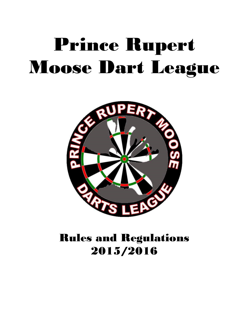# Prince Rupert Moose Dart League



# Rules and Regulations 2015/2016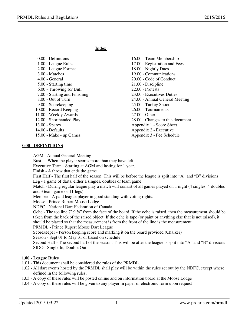**Index** 

| 0.00 - Definitions            | 16.00 - Team Membership          |
|-------------------------------|----------------------------------|
| 1.00 - League Rules           | 17.00 - Registration and Fees    |
| 2.00 - League Format          | 18.00 - Nightly Dues             |
| 3.00 - Matches                | 19.00 - Communications           |
| $4.00$ - General              | 20.00 - Code of Conduct          |
| 5.00 - Starting time          | 21.00 - Discipline               |
| 6.00 - Throwing for Bull      | $22.00$ - Protests               |
| 7.00 - Starting and Finishing | 23.00 - Executives Duties        |
| $8.00 - Out$ of Turn          | 24.00 - Annual General Meeting   |
| 9.00 - Scorekeeping           | 25.00 - Turkey Shoot             |
| 10.00 - Record Keeping        | 26.00 - Tournaments              |
| 11.00 - Weekly Awards         | $27.00 - Other$                  |
| 12.00 - Shorthanded Play      | 28.00 - Changes to this document |
| $13.00 - Spares$              | Appendix 1 - Score Sheet         |
| 14.00 - Defaults              | Appendix 2 - Executive           |
| 15.00 - Make - up Games       | Appendix 3 - Fee Schedule        |
|                               |                                  |

#### **0.00 - DEFINITIONS**

AGM - Annual General Meeting

Bust - When the player scores more than they have left.

Executive Term - Starting at AGM and lasting for 1 year.

Finish - A throw that ends the game

First Half - The first half of the season. This will be before the league is split into "A" and "B" divisions Leg - 1 game of darts, either a singles, doubles or team game

Match - During regular league play a match will consist of all games played on 1 night (4 singles, 4 doubles and 3 team game or 11 legs)

Member - A paid league player in good standing with voting rights.

Moose - Prince Rupert Moose Lodge

NDFC - National Dart Federation of Canada

Oche - The toe line 7' 9 ¾" from the face of the board. If the oche is raised, then the measurement should be taken from the back of the raised object. If the oche is tape (or paint or anything else that is not raised), it should be placed so that the measurement is from the front of the line is the measurement.

PRMDL - Prince Rupert Moose Dart League

Scorekeeper - Person keeping score and marking it on the board provided (Chalker)

Season - Sept 01 to May 31 or based on schedule

Second Half - The second half of the season. This will be after the league is split into "A" and "B" divisions SIDO - Single In, Double Out

# **1.00 - League Rules**

- 1.01 This document shall be considered the rules of the PRMDL.
- 1.02 All dart events hosted by the PRMDL shall play will be within the rules set out by the NDFC, except where defined in the following rules.
- 1.03 A copy of these rules will be posted online and on information board at the Moose Lodge
- 1.04 A copy of these rules will be given to any player in paper or electronic form upon request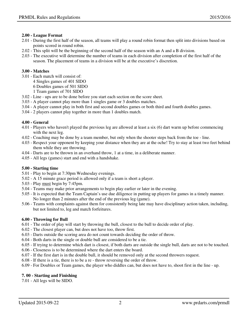# **2.00 - League Format**

- 2.01 During the first half of the season, all teams will play a round robin format then split into divisions based on points scored in round robin.
- 2.02 This split will be the beginning of the second half of the season with an A and a B division.
- 2.03 The executive will determine the number of teams in each division after completion of the first half of the season. The placement of teams in a division will be at the executive's discretion.

# **3.00 - Matches**

- 3.01 Each match will consist of:
	- 4 Singles games of 401 SIDO
	- 6 Doubles games of 501 SIDO
	- 1 Team games of 701 SIDO
- 3.02 Line ups are to be done before you start each section on the score sheet.
- 3.03 A player cannot play more than 1 singles game or 3 doubles matches.
- 3.04 A player cannot play in both first and second doubles games or both third and fourth doubles games.
- 3.04 2 players cannot play together in more than 1 doubles match.

# **4.00 - General**

- 4.01 Players who haven't played the previous leg are allowed at least a six (6) dart warm up before commencing with the next leg.
- 4.02 Coaching may be done by a team member, but only when the shooter steps back from the toe line.
- 4.03 Respect your opponent by keeping your distance when they are at the oche! Try to stay at least two feet behind them while they are throwing.
- 4.04 Darts are to be thrown in an overhand throw, 1 at a time, in a deliberate manner.
- 4.05 All legs (games) start and end with a handshake.

# **5.00 - Starting time**

- 5.01 Play to begin at 7:30pm Wednesday evenings.
- 5.02 A 15 minute grace period is allowed only if a team is short a player.
- 5.03 Play must begin by 7:45pm.
- 5.04 Teams may make prior arrangements to begin play earlier or later in the evening.
- 5.05 It is expected that the Team Captain's use due diligence in putting up players for games in a timely manner. No longer than 2 minutes after the end of the previous leg (game).
- 5.06 Teams with complaints against them for consistently being late may have disciplinary action taken, including, but not limited to, leg and match forfeitures.

# **6.00 - Throwing for Bull**

- 6.01 The order of play will start by throwing the bull, closest to the bull to decide order of play.
- 6.02 The closest player can, but does not have too, throw first.
- 6.03 Darts outside the scoring area do not count towards deciding the order of throw.
- 6.04 Both darts in the single or double bull are considered to be a tie.
- 6.05 If trying to determine which dart is closest, if both darts are outside the single bull, darts are not to be touched.
- 6.06 Closeness is to be determined where the dart enters the board.
- 6.07 If the first dart is in the double bull, it should be removed only at the second throwers request.
- 6.08 If there is a tie, there is to be a re throw reversing the order of throw.
- 6.09 For Doubles or Team games, the player who diddles can, but does not have to, shoot first in the line up.

# **7. 00 - Starting and Finishing**

7.01 - All legs will be SIDO.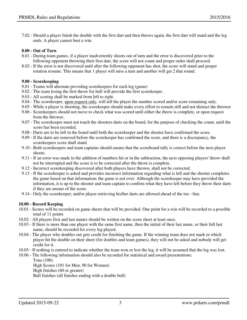# **8.00 - Out of Turn**

- 8.01 During team games, if a player inadvertently shoots out of turn and the error is discovered prior to the following opponent throwing their first dart, the score will not count and proper order shall proceed.
- 8.02 If the error is not discovered until after the following opponent has shot, the score will stand and proper rotation resume. This means that 1 player will miss a turn and another will get 2 that round.

## **9.00 - Scorekeeping**

- 9.01 Teams will alternate providing scorekeepers for each leg (game)
- 9.02 The team losing the first throw for bull will provide the first scorekeeper.
- 9.03 All scoring shall be marked from left to right.

ends. A player cannot bust a win.

- 9.04 The scorekeeper, upon request only, will tell the player the number scored and/or score remaining only.
- 9.05 While a player is shooting, the scorekeeper should make every effort to remain still and not distract the thrower
- 9.06 Scorekeepers should not move to check what was scored until either the throw is complete, or upon request from the thrower.
- 9.07 The scorekeeper must not touch the shooters darts on the board, for the purpose of checking the count, until the score has been recorded.
- 9.08 Darts are to be left in the board until both the scorekeeper and the shooter have confirmed the score.
- 9.09 If the darts are removed before the scorekeeper has confirmed the score, and there is a discrepancy, the scorekeepers score shall stand.
- 9.10 Both scorekeepers and team captains should ensure that the scoreboard tally is correct before the next player shoots.
- 9.11 If an error was made in the addition of numbers hit or in the subtraction, the next opposing players' throw shall not be interrupted and the score is to be corrected after the throw is complete.
- 9.12 Incorrect scorekeeping discovered after both players have thrown, shall not be corrected.
- 9.13 If the scorekeeper is asked and provides incorrect information regarding what is left and the shooter completes the game based on that information; the game is not over. Although the scorekeeper may have provided the information, it is up to the shooter and team captain to confirm what they have left before they throw their darts if they are unsure of the score.
- 9.14 Only the scorekeeper, and/or player retrieving his/her darts are allowed ahead of the toe line.

# **10.00 - Record Keeping**

- 10.01 Scores will be recorded on game sheets that will be provided. One point for a win will be recorded to a possible total of 11 points
- 10.02 All players first and last names should be written on the score sheet at least once.
- 10.03 If there is more than one player with the same first name, then the initial of their last name, or their full last name, should be recorded for every leg played.
- 10.04 The player who doubles out gets credit for finishing the game. If the winning team does not mark in which player hit the double on their sheet (for doubles and team games), they will not be asked and nobody will get credit for it.
- 10.05 If nothing is entered to indicate whether the team won or lost the leg, it will be assumed that the leg was lost.
- 10.06 The following information should also be recorded for statistical and award presentations: Tons (100)

High Scores (101 for Men, 90 for Women) High finishes (60 or greater)

Bull finishes (all finishes ending with a double bull)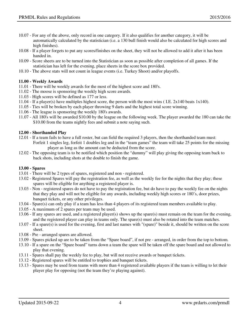- 10.07 For any of the above, only record in one category. If it also qualifies for another category, it will be automatically calculated by the statistician (i.e. a 130 bull finish would also be calculated for high scores and high finishes).
- 10.08 If a player forgets to put any scores/finishes on the sheet, they will not be allowed to add it after it has been handed in.
- 10.09 Score sheets are to be turned into the Statistician as soon as possible after completion of all games. If the statistician has left for the evening, place sheets in the score box provided.
- 10.10 The above stats will not count in league events (i.e. Turkey Shoot) and/or playoffs.

#### **11.00 - Weekly Awards**

- 11.01 There will be weekly awards for the most of the highest score and 180's.
- 11.02 The moose is sponsoring the weekly high score awards.
- 11.03 High scores will be defined as 177 or less.
- 11.04 If a player(s) have multiples highest score, the person with the most wins ( I.E. 2x140 beats 1x140).
- 11.05 Ties will be broken by each player throwing 9 darts and the highest total score winning.
- 11.06 The league is sponsoring the weekly 180's awards.
- 11.07 All 180's will be awarded \$10.00 by the league on the following week. The player awarded the 180 can take the \$10.00 from the teams nightly fees and submit a note saying such.

#### **12.00 - Shorthanded Play**

- 12.01 If a team fails to have a full roster, but can field the required 3 players, then the shorthanded team must: Forfeit 1 singles leg, forfeit 1 doubles leg and in the "team games" the team will take 25 points for the missing player as long as the amount can be deducted from the score.
- 12.02 The opposing team is to be notified which position the "dummy" will play giving the opposing team back to back shots, including shots at the double to finish the game.

#### **13.00 - Spares**

- 13.01 There will be 2 types of spares, registered and non registered.
- 13.02 Registered Spares will pay the registration fee, as well as the weekly fee for the nights that they play; these spares will be eligible for anything a registered player is.
- 13.03 Non registered spares do not have to pay the registration fee, but do have to pay the weekly fee on the nights that they play and will not be eligible for any awards, including weekly high scores or 180's, door prizes, banquet tickets, or any other privileges.
- 13.04 Spare(s) can only play if a team has less than 4 players of its registered team members available to play.
- 13.05 A maximum of 2 spares per team may be used.
- 13.06 If any spares are used, and a registered player(s) shows up the spare(s) must remain on the team for the evening, and the registered player can play in teams only. The spare(s) must also be rotated into the team matches.
- 13.07 If a spare(s) is used for the evening, first and last names with "(spare)" beside it, should be written on the score sheet.
- 13.08 Pre arranged spares are allowed.
- 13.09 Spares picked up are to be taken from the "Spare board", if not pre arranged, in order from the top to bottom.
- 13.10 If a spare on the "Spare board" turns down a team the spare will be taken off the spare board and not allowed to play that evening.
- 13.11 Spares shall pay the weekly fee to play, but will not receive awards or banquet tickets.
- 13.12 Registered spares will be entitled to trophies and banquet tickets.
- 13.13 Spares may be used from teams with more than 4 registered available players if the team is willing to let their player play for opposing (not the team they're playing against).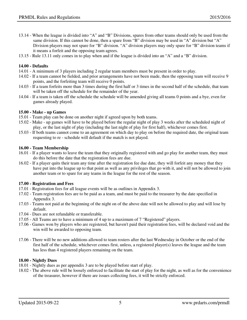- 13.14 When the league is divided into "A" and "B" Divisions, spares from other teams should only be used from the same division. If this cannot be done, then a spare from "B" division may be used in "A" division but "A" Division players may not spare for "B" division. "A" division players may only spare for "B" division teams if it means a forfeit and the opposing team agrees.
- 13.15 Rule 13.11 only comes in to play when and if the league is divided into an "A" and a "B" division.

## **14.00 - Defaults**

- 14.01 A minimum of 3 players including 2 regular team members must be present in order to play.
- 14.02 If a team cannot be fielded, and prior arrangements have not been made, then the opposing team will receive 9 points, and the forfeiting team will receive 0 points.
- 14.03 If a team forfeits more than 3 times during the first half or 3 times in the second half of the schedule, that team will be taken off the schedule for the remainder of the year.
- 14.04 If a team is taken off the schedule the schedule will be amended giving all teams 0 points and a bye, even for games already played.

#### **15.00 - Make - up Games**

- 15.01 Team play can be done on another night if agreed upon by both teams.
- 15.02 Make up games will have to be played before the regular night of play 3 weeks after the scheduled night of play, or the last night of play (including the last night of play for first half), whichever comes first.
- 15.03 If both teams cannot come to an agreement on which day to play on before the required date, the original team requesting to re - schedule will default if the match is not played.

#### **16.00 - Team Membership**

- 16.01 If a player wants to leave the team that they originally registered with and go play for another team, they must do this before the date that the registration fees are due.
- 16.02 If a player quits their team any time after the registration fee due date, they will forfeit any money that they have put into the league up to that point as well as any privileges that go with it, and will not be allowed to join another team or to spare for any teams in the league for the rest of the season.

## **17.00 - Registration and Fees**

- 17.01 Registration fees for all league events will be as outlines in Appendix 3.
- 17.02 Team registration fees are to be paid as a team, and must be paid to the treasurer by the date specified in Appendix 3.
- 17.03 Teams not paid at the beginning of the night on of the above date will not be allowed to play and will lose by default.
- 17.04 Dues are not refundable or transferable.
- 17.05 All Teams are to have a minimum of 4 up to a maximum of 7 "Registered" players.
- 17.06 Games won by players who are registered, but haven't paid their registration fees, will be declared void and the win will be awarded to opposing team.
- 17.06 There will be no new additions allowed to team rosters after the last Wednesday in October or the end of the first half of the schedule, whichever comes first, unless, a registered player(s) leaves the league and the team has less than 4 registered players remaining on the team.

## **18.00 - Nightly Dues**

- 18.01 Nightly dues as per appendix 3 are to be played before start of play.
- 18.02 The above rule will be loosely enforced to facilitate the start of play for the night, as well as for the convenience of the treasurer, however if there are issues collecting fees, it will be strictly enforced.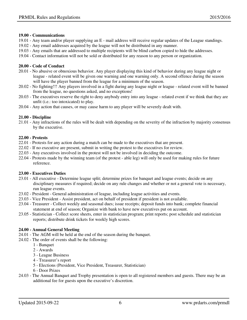## **19.00 - Communications**

- 19.01 Any team and/or player supplying an E mail address will receive regular updates of the League standings.
- 19.02 Any email addresses acquired by the league will not be distributed in any manner.
- 19.03 Any emails that are addressed to multiple recipients will be blind carbon copied to hide the addresses.
- 19.04 Contact information will not be sold or distributed for any reason to any person or organization.

# **20.00 - Code of Conduct**

- 20.01 No abusive or obnoxious behavior. Any player displaying this kind of behavior during any league night or league - related event will be given one warning and one warning only. A second offence during the season will have the player banned from the league for a minimum of the season.
- 20.02 No fighting!!! Any players involved in a fight during any league night or league related event will be banned from the league, no questions asked, and no exceptions!
- 20.03 The executives reserve the right to deny anybody entry into any league related event if we think that they are unfit (i.e.: too intoxicated) to play.
- 20.04 Any action that causes, or may cause harm to any player will be severely dealt with.

# **21.00 - Discipline**

21.01 - Any infractions of the rules will be dealt with depending on the severity of the infraction by majority consensus by the executive.

## **22.00 - Protests**

- 22.01 Protests for any action during a match can be made to the executives that are present.
- 22.02 If no executive are present, submit in writing the protest to the executives for review.
- 22.03 Any executives involved in the protest will not be involved in deciding the outcome.
- 22.04 Protests made by the winning team (of the protest able leg) will only be used for making rules for future reference.

## **23.00 - Executives Duties**

- 23.01 All executive Determine league split; determine prizes for banquet and league events; decide on any disciplinary measures if required; decide on any rule changes and whether or not a general vote is necessary, run league events.
- 23.02 President General administration of league, including league activities and events.
- 23.03 Vice President Assist president, act on behalf of president if president is not available.
- 23.04 Treasurer Collect weekly and seasonal dues; issue receipts; deposit funds into bank; complete financial statement at end of season; Organize with bank to have new executives put on account.
- 23.05 Statistician Collect score sheets, enter in statistician program; print reports; post schedule and statistician reports; distribute drink tickets for weekly high scores.

## **24.00 - Annual General Meeting**

- 24.01 The AGM will be held at the end of the season during the banquet.
- 24.02 The order of events shall be the following:
	- 1 Banquet
	- 2 Awards
	- 3 League Business
	- 4 Treasurer's report
	- 5 Elections (President, Vice President, Treasurer, Statistician)
	- 6 Door Prizes
- 24.03 The Annual Banquet and Trophy presentation is open to all registered members and guests. There may be an additional fee for guests upon the executive's discretion.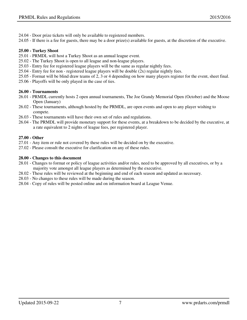- 24.04 Door prize tickets will only be available to registered members.
- 24.05 If there is a fee for guests, there may be a door prize(s) available for guests, at the discretion of the executive.

# **25.00 - Turkey Shoot**

- 25.01 PRMDL will host a Turkey Shoot as an annual league event.
- 25.02 The Turkey Shoot is open to all league and non-league players.
- 25.03 Entry fee for registered league players will be the same as regular nightly fees.
- 25.04 Entry fee for non registered league players will be double (2x) regular nightly fees.
- 25.05 Format will be blind draw teams of 2, 3 or 4 depending on how many players register for the event, sheet final.
- 25.06 Playoffs will be only played in the case of ties.

# **26.00 - Tournaments**

- 26.01 PRMDL currently hosts 2 open annual tournaments, The Joe Grandy Memorial Open (October) and the Moose Open (January)
- 26.02 These tournaments, although hosted by the PRMDL, are open events and open to any player wishing to compete.
- 26.03 These tournaments will have their own set of rules and regulations.
- 26.04 The PRMDL will provide monetary support for these events, at a breakdown to be decided by the executive, at a rate equivalent to 2 nights of league fees, per registered player.

# **27.00 - Other**

- 27.01 Any item or rule not covered by these rules will be decided on by the executive.
- 27.02 Please consult the executive for clarification on any of these rules.

# **28.00 - Changes to this document**

- 28.01 Changes to format or policy of league activities and/or rules, need to be approved by all executives, or by a majority vote amongst all league players as determined by the executive.
- 28.02 These rules will be reviewed at the beginning and end of each season and updated as necessary.
- 28.03 No changes to these rules will be made during the season.
- 28.04 Copy of rules will be posted online and on information board at League Venue.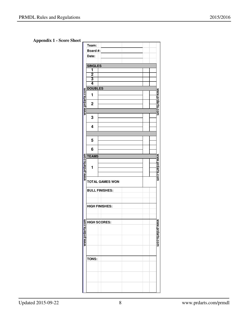**Appendix 1 - Score Sheet**